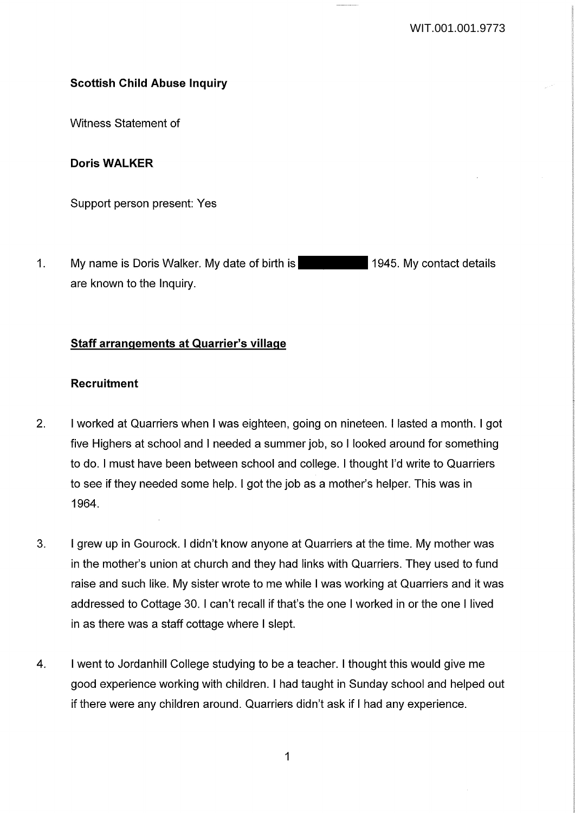# **Scottish Child Abuse Inquiry**

Witness Statement of

## **Doris WALKER**

Support person present: Yes

1. My name is Doris Walker. My date of birth is 1945. My contact details are known to the Inquiry.

# **Staff arrangements at Quarrier's village**

### **Recruitment**

- 2. I worked at Quarriers when I was eighteen, going on nineteen. I lasted a month. I got five Highers at school and I needed a summer job, so I looked around for something to do. I must have been between school and college. I thought I'd write to Quarriers to see if they needed some help. I got the job as a mother's helper. This was in 1964.
- 3. I grew up in Gourock. I didn't know anyone at Quarriers at the time. My mother was in the mother's union at church and they had links with Quarriers. They used to fund raise and such like. My sister wrote to me while I was working at Quarriers and it was addressed to Cottage 30. I can't recall if that's the one I worked in or the one I lived in as there was a staff cottage where I slept.
- 4. I went to Jordanhill College studying to be a teacher. I thought this would give me good experience working with children. I had taught in Sunday school and helped out if there were any children around. Quarriers didn't ask if I had any experience.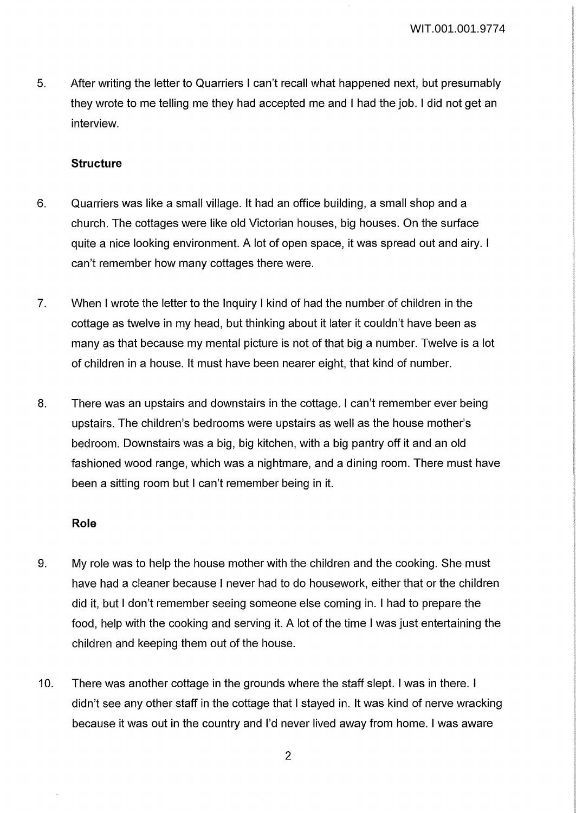5. After writing the letter to Quarriers I can't recall what happened next, but presumably they wrote to me telling me they had accepted me and I had the job. I did not get an interview.

### **Structure**

- 6. Quarriers was like a small village. It had an office building, a small shop and a church. The cottages were like old Victorian houses, big houses. On the surface quite a nice looking environment. A lot of open space, it was spread out and airy. I can't remember how many cottages there were.
- 7. When I wrote the letter to the Inquiry I kind of had the number of children in the cottage as twelve in my head, but thinking about it later it couldn't have been as many as that because my mental picture is not of that big a number. Twelve is a lot of children in a house. It must have been nearer eight, that kind of number.
- 8. There was an upstairs and downstairs in the cottage. I can't remember ever being upstairs. The children's bedrooms were upstairs as well as the house mother's bedroom. Downstairs was a big, big kitchen, with a big pantry off it and an old fashioned wood range, which was a nightmare, and a dining room. There must have been a sitting room but I can't remember being in it.

#### **Role**

- 9. My role was to help the house mother with the children and the cooking. She must have had a cleaner because I never had to do housework, either that or the children did it, but I don't remember seeing someone else coming in. I had to prepare the food, help with the cooking and serving it. A lot of the time I was just entertaining the children and keeping them out of the house.
- 10. There was another cottage in the grounds where the staff slept. I was in there. I didn't see any other staff in the cottage that I stayed in. It was kind of nerve wracking because it was out in the country and I'd never lived away from home. I was aware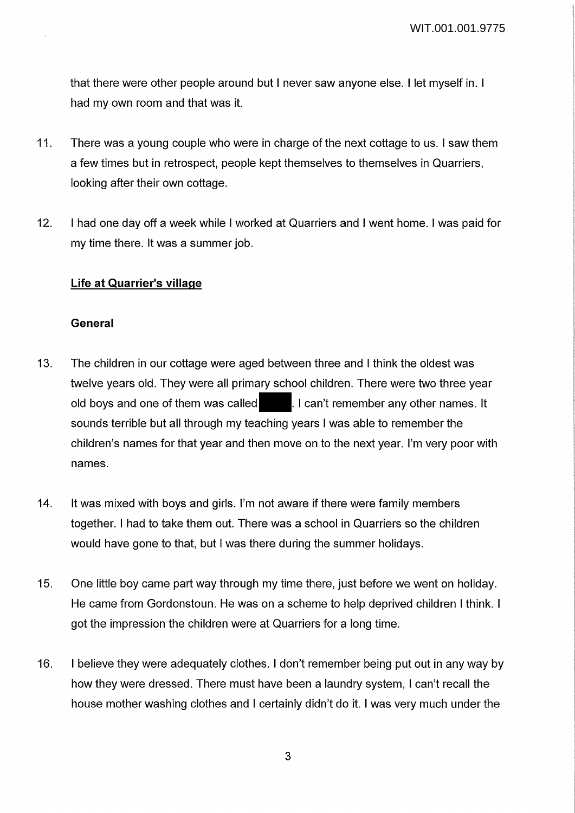that there were other people around but I never saw anyone else. I let myself in. I had my own room and that was it.

- 11. There was a young couple who were in charge of the next cottage to us. I saw them a few times but in retrospect, people kept themselves to themselves in Quarriers, looking after their own cottage.
- 12. I had one day off a week while I worked at Quarriers and I went home. I was paid for my time there. It was a summer job.

#### **Life at Quarrier's village**

#### **General**

- 13. The children in our cottage were aged between three and I think the oldest was twelve years old. They were all primary school children. There were two three year old boys and one of them was called **.** I can't remember any other names. It sounds terrible but all through my teaching years I was able to remember the children's names for that year and then move on to the next year. I'm very poor with names.
- 14. It was mixed with boys and girls. I'm not aware if there were family members together. I had to take them out. There was a school in Quarriers so the children would have gone to that, but I was there during the summer holidays.
- 15. One little boy came part way through my time there, just before we went on holiday. He came from Gordonstoun. He was on a scheme to help deprived children I think. I got the impression the children were at Quarriers for a long time.
- 16. I believe they were adequately clothes. I don't remember being put out in any way by how they were dressed. There must have been a laundry system, I can't recall the house mother washing clothes and I certainly didn't do it. I was very much under the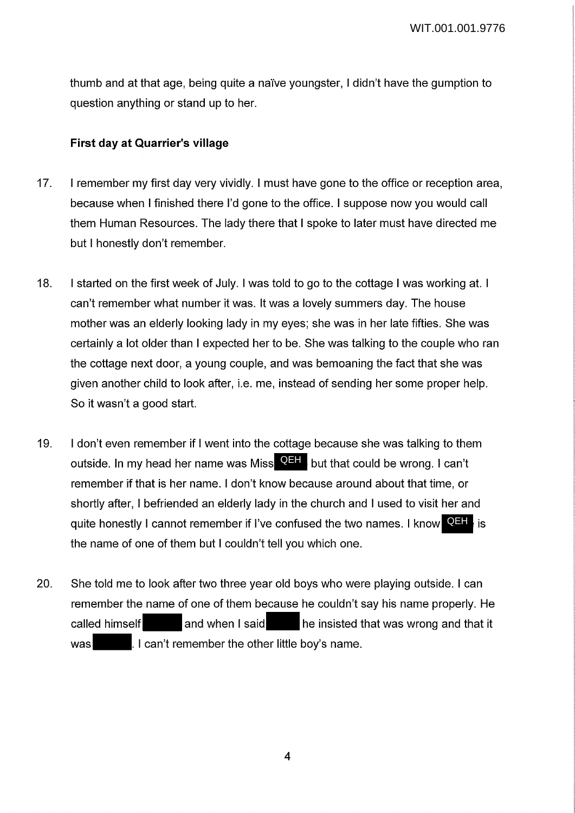thumb and at that age, being quite a na"ive youngster, I didn't have the gumption to question anything or stand up to her.

### **First day at Quarrier's village**

- 17. I remember my first day very vividly. I must have gone to the office or reception area, because when I finished there I'd gone to the office. I suppose now you would call them Human Resources. The lady there that I spoke to later must have directed me but I honestly don't remember.
- 18. I started on the first week of July. I was told to go to the cottage I was working at. I can't remember what number it was. It was a lovely summers day. The house mother was an elderly looking lady in my eyes; she was in her late fifties. She was certainly a lot older than I expected her to be. She was talking to the couple who ran the cottage next door, a young couple, and was bemoaning the fact that she was given another child to look after, i.e. me, instead of sending her some proper help. So it wasn't a good start.
- 19. I don't even remember if I went into the cottage because she was talking to them outside. In my head her name was Miss **QEH** but that could be wrong. I can't remember if that is her name. I don't know because around about that time, or shortly after, I befriended an elderly lady in the church and I used to visit her and quite honestly I cannot remember if I've confused the two names. I know **QEH**, is the name of one of them but I couldn't tell you which one.
- 20. She told me to look after two three year old boys who were playing outside. I can remember the name of one of them because he couldn't say his name properly. He called himself and when I said he insisted that was wrong and that it was **.** I can't remember the other little boy's name.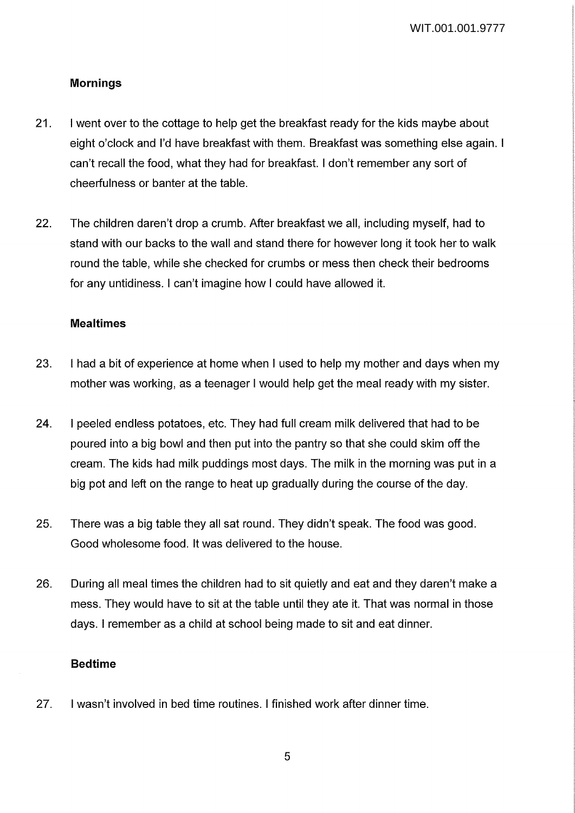## **Mornings**

- 21. I went over to the cottage to help get the breakfast ready for the kids maybe about eight o'clock and I'd have breakfast with them. Breakfast was something else again. I can't recall the food, what they had for breakfast. I don't remember any sort of cheerfulness or banter at the table.
- 22. The children daren't drop a crumb. After breakfast we all, including myself, had to stand with our backs to the wall and stand there for however long it took her to walk round the table, while she checked for crumbs or mess then check their bedrooms for any untidiness. I can't imagine how I could have allowed it.

### **Mealtimes**

- 23. I had a bit of experience at home when I used to help my mother and days when my mother was working, as a teenager I would help get the meal ready with my sister.
- 24. I peeled endless potatoes, etc. They had full cream milk delivered that had to be poured into a big bowl and then put into the pantry so that she could skim off the cream. The kids had milk puddings most days. The milk in the morning was put in a big pot and left on the range to heat up gradually during the course of the day.
- 25. There was a big table they all sat round. They didn't speak. The food was good. Good wholesome food. It was delivered to the house.
- 26. During all meal times the children had to sit quietly and eat and they daren't make a mess. They would have to sit at the table until they ate it. That was normal in those days. I remember as a child at school being made to sit and eat dinner.

#### **Bedtime**

27. I wasn't involved in bed time routines. I finished work after dinner time.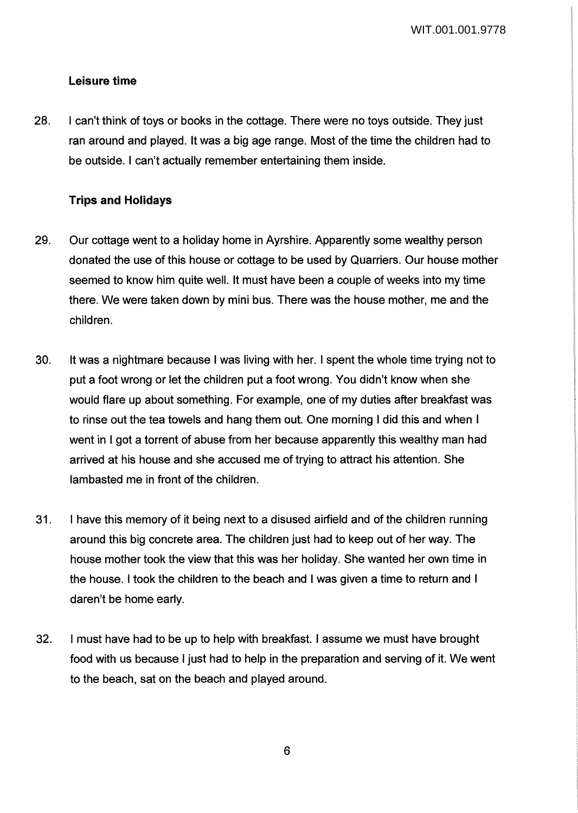## **Leisure time**

28. I can't think of toys or books in the cottage. There were no toys outside. They just ran around and played. It was a big age range. Most of the time the children had to be outside. I can't actually remember entertaining them inside.

### **Trips and Holidays**

- 29. Our cottage went to a holiday home in Ayrshire. Apparently some wealthy person donated the use of this house or cottage to be used by Quarriers. Our house mother seemed to know him quite well. It must have been a couple of weeks into my time there. We were taken down by mini bus. There was the house mother, me and the children.
- 30. It was a nightmare because I was living with her. I spent the whole time trying not to put a foot wrong or let the children put a foot wrong. You didn't know when she would flare up about something. For example, one of my duties after breakfast was to rinse out the tea towels and hang them out. One morning I did this and when I went in I got a torrent of abuse from her because apparently this wealthy man had arrived at his house and she accused me of trying to attract his attention. She lambasted me in front of the children.
- 31. I have this memory of it being next to a disused airfield and of the children running around this big concrete area. The children just had to keep out of her way. The house mother took the view that this was her holiday. She wanted her own time in the house. I took the children to the beach and I was given a time to return and I daren't be home early.
- 32. I must have had to be up to help with breakfast. I assume we must have brought food with us because I just had to help in the preparation and serving of it. We went to the beach, sat on the beach and played around.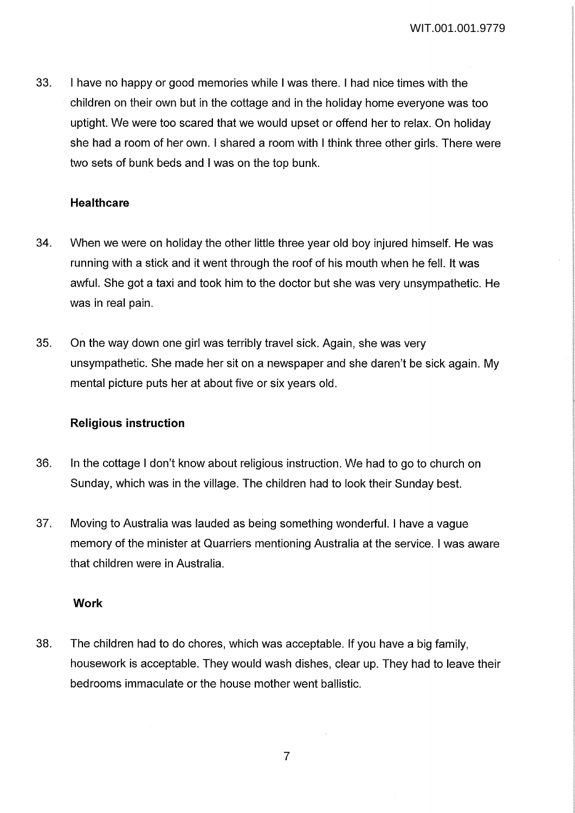33. I have no happy or good memories while I was there. I had nice times with the children on their own but in the cottage and in the holiday home everyone was too uptight. We were too scared that we would upset or offend her to relax. On holiday she had a room of her own. I shared a room with I think three other girls. There were two sets of bunk beds and I was on the top bunk.

### **Healthcare**

- 34. When we were on holiday the other little three year old boy injured himself. He was running with a stick and it went through the roof of his mouth when he fell. It was awful. She got a taxi and took him to the doctor but she was very unsympathetic. He was in real pain.
- 35. On the way down one girl was terribly travel sick. Again, she was very unsympathetic. She made her sit on a newspaper and she daren't be sick again. My mental picture puts her at about five or six years old.

#### **Religious instruction**

- 36. In the cottage I don't know about religious instruction. We had to go to church on Sunday, which was in the village. The children had to look their Sunday best.
- 37. Moving to Australia was lauded as being something wonderful. I have a vague memory of the minister at Quarriers mentioning Australia at the service. I was aware that children were in Australia.

#### **Work**

38. The children had to do chores, which was acceptable. If you have a big family, housework is acceptable. They would wash dishes, clear up. They had to leave their bedrooms immaculate or the house mother went ballistic.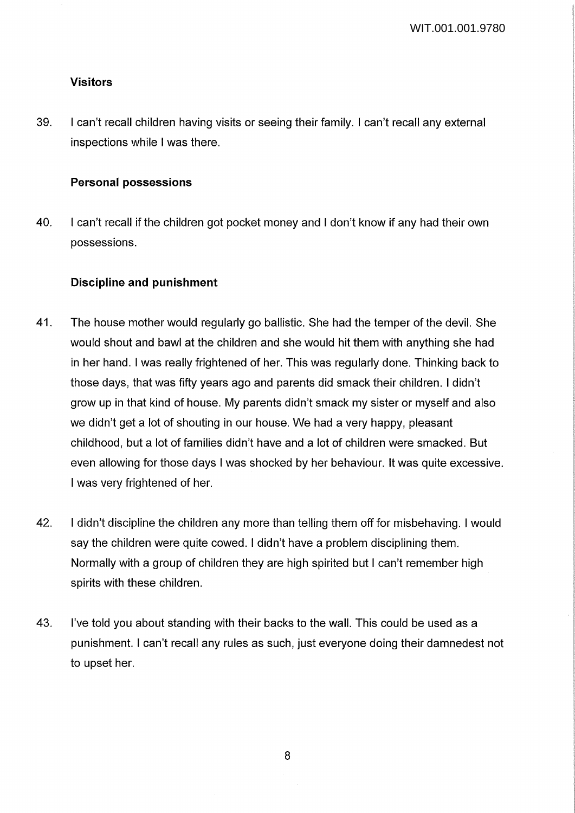### **Visitors**

39. I can't recall children having visits or seeing their family. I can't recall any external inspections while I was there.

### **Personal possessions**

40. I can't recall if the children got pocket money and I don't know if any had their own possessions.

## **Discipline and punishment**

- 41. The house mother would regularly go ballistic. She had the temper of the devil. She would shout and bawl at the children and she would hit them with anything she had in her hand. I was really frightened of her. This was regularly done. Thinking back to those days, that was fifty years ago and parents did smack their children. I didn't grow up in that kind of house. My parents didn't smack my sister or myself and also we didn't get a lot of shouting in our house. We had a very happy, pleasant childhood, but a lot of families didn't have and a lot of children were smacked. But even allowing for those days I was shocked by her behaviour. It was quite excessive. I was very frightened of her.
- 42. I didn't discipline the children any more than telling them off for misbehaving. I would say the children were quite cowed. I didn't have a problem disciplining them. Normally with a group of children they are high spirited but I can't remember high spirits with these children.
- 43. I've told you about standing with their backs to the wall. This could be used as a punishment. I can't recall any rules as such, just everyone doing their damnedest not to upset her.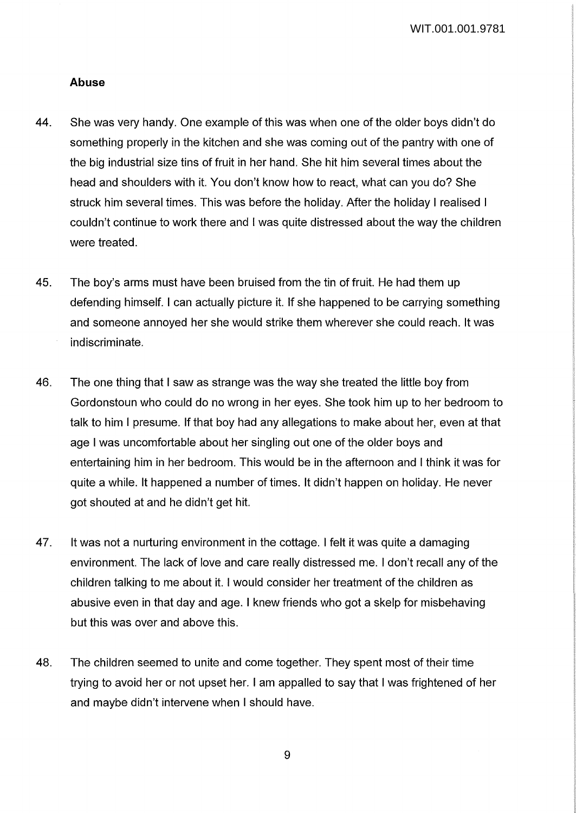#### **Abuse**

- 44. She was very handy. One example of this was when one of the older boys didn't do something properly in the kitchen and she was coming out of the pantry with one of the big industrial size tins of fruit in her hand. She hit him several times about the head and shoulders with it. You don't know how to react, what can you do? She struck him several times. This was before the holiday. After the holiday I realised I couldn't continue to work there and I was quite distressed about the way the children were treated.
- 45. The boy's arms must have been bruised from the tin of fruit. He had them up defending himself. I can actually picture it. If she happened to be carrying something and someone annoyed her she would strike them wherever she could reach. It was indiscriminate.
- 46. The one thing that I saw as strange was the way she treated the little boy from Gordonstoun who could do no wrong in her eyes. She took him up to her bedroom to talk to him I presume. If that boy had any allegations to make about her, even at that age I was uncomfortable about her singling out one of the older boys and entertaining him in her bedroom. This would be in the afternoon and I think it was for quite a while. It happened a number of times. It didn't happen on holiday. He never got shouted at and he didn't get hit.
- 47. It was not a nurturing environment in the cottage. I felt it was quite a damaging environment. The lack of love and care really distressed me. I don't recall any of the children talking to me about it. I would consider her treatment of the children as abusive even in that day and age. I knew friends who got a skelp for misbehaving but this was over and above this.
- 48. The children seemed to unite and come together. They spent most of their time trying to avoid her or not upset her. I am appalled to say that I was frightened of her and maybe didn't intervene when I should have.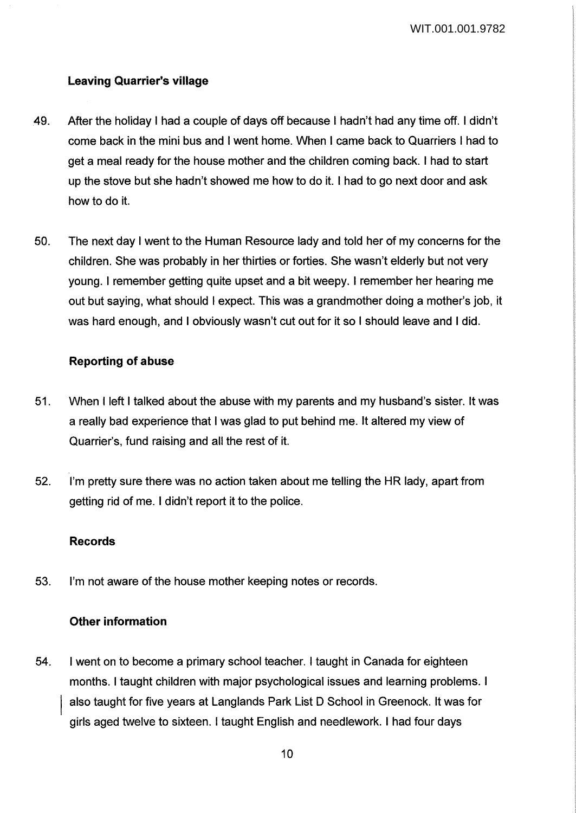## **Leaving Quarrier's village**

- 49. After the holiday I had a couple of days off because I hadn't had any time off. I didn't come back in the mini bus and I went home. When I came back to Quarriers I had to get a meal ready for the house mother and the children coming back. I had to start up the stove but she hadn't showed me how to do it. I had to go next door and ask how to do it.
- 50. The next day I went to the Human Resource lady and told her of my concerns for the children. She was probably in her thirties or forties. She wasn't elderly but not very young. I remember getting quite upset and a bit weepy. I remember her hearing me out but saying, what should I expect. This was a grandmother doing a mother's job, it was hard enough, and I obviously wasn't cut out for it so I should leave and I did.

### **Reporting of abuse**

- 51. When I left I talked about the abuse with my parents and my husband's sister. It was a really bad experience that I was glad to put behind me. It altered my view of Quarrier's, fund raising and all the rest of it.
- 52. I'm pretty sure there was no action taken about me telling the HR lady, apart from getting rid of me. I didn't report it to the police.

#### **Records**

53. I'm not aware of the house mother keeping notes or records.

#### **Other information**

54. I went on to become a primary school teacher. I taught in Canada for eighteen months. I taught children with major psychological issues and learning problems. I also taught for five years at Langlands Park List D School in Greenock. It was for girls aged twelve to sixteen. I taught English and needlework. I had four days